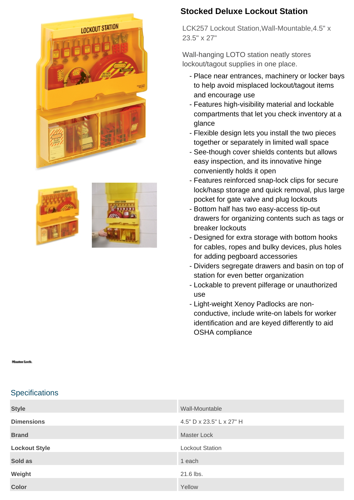





## **Stocked Deluxe Lockout Station**

LCK257 Lockout Station,Wall-Mountable,4.5" x 23.5" x 27"

Wall-hanging LOTO station neatly stores lockout/tagout supplies in one place.

- Place near entrances, machinery or locker bays to help avoid misplaced lockout/tagout items and encourage use
- Features high-visibility material and lockable compartments that let you check inventory at a glance
- Flexible design lets you install the two pieces together or separately in limited wall space
- See-though cover shields contents but allows easy inspection, and its innovative hinge conveniently holds it open
- Features reinforced snap-lock clips for secure lock/hasp storage and quick removal, plus large pocket for gate valve and plug lockouts
- Bottom half has two easy-access tip-out drawers for organizing contents such as tags or breaker lockouts
- Designed for extra storage with bottom hooks for cables, ropes and bulky devices, plus holes for adding pegboard accessories
- Dividers segregate drawers and basin on top of station for even better organization
- Lockable to prevent pilferage or unauthorized use
- Light-weight Xenoy Padlocks are nonconductive, include write-on labels for worker identification and are keyed differently to aid OSHA compliance

## **Specifications**

| <b>Style</b>         | Wall-Mountable           |
|----------------------|--------------------------|
| <b>Dimensions</b>    | 4.5" D x 23.5" L x 27" H |
| <b>Brand</b>         | <b>Master Lock</b>       |
| <b>Lockout Style</b> | <b>Lockout Station</b>   |
| Sold as              | 1 each                   |
| Weight               | 21.6 lbs.                |
| <b>Color</b>         | Yellow                   |